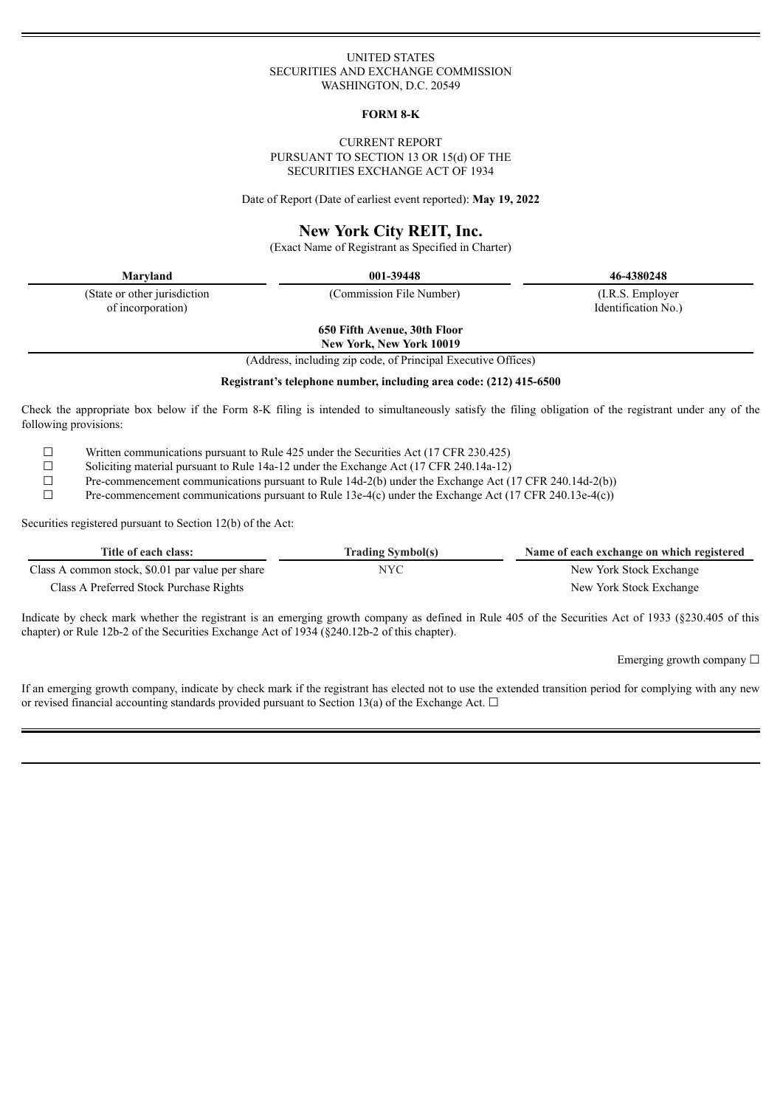#### UNITED STATES SECURITIES AND EXCHANGE COMMISSION WASHINGTON, D.C. 20549

#### **FORM 8-K**

#### CURRENT REPORT PURSUANT TO SECTION 13 OR 15(d) OF THE SECURITIES EXCHANGE ACT OF 1934

Date of Report (Date of earliest event reported): **May 19, 2022**

# **New York City REIT, Inc.**

(Exact Name of Registrant as Specified in Charter)

(State or other jurisdiction of incorporation)

**Maryland 001-39448 46-4380248**

(Commission File Number) (I.R.S. Employer Identification No.)

**650 Fifth Avenue, 30th Floor**

**New York, New York 10019**

(Address, including zip code, of Principal Executive Offices)

**Registrant's telephone number, including area code: (212) 415-6500**

Check the appropriate box below if the Form 8-K filing is intended to simultaneously satisfy the filing obligation of the registrant under any of the following provisions:

 $\Box$  Written communications pursuant to Rule 425 under the Securities Act (17 CFR 230.425)<br>Soliciting material pursuant to Rule 14a-12 under the Exchange Act (17 CFR 240.14a-12)

<del>□</del> Soliciting material pursuant to Rule 14a-12 under the Exchange Act (17 CFR 240.14a-12)<br>Pre-commencement communications pursuant to Rule 14d-2(b) under the Exchange Act (1

□ Pre-commencement communications pursuant to Rule 14d-2(b) under the Exchange Act (17 CFR 240.14d-2(b))<br>Pre-commencement communications pursuant to Rule 13e-4(c) under the Exchange Act (17 CFR 240 13e-4(c))

Pre-commencement communications pursuant to Rule 13e-4(c) under the Exchange Act (17 CFR 240.13e-4(c))

Securities registered pursuant to Section 12(b) of the Act:

| Title of each class:                             | <b>Trading Symbol(s)</b> | Name of each exchange on which registered |
|--------------------------------------------------|--------------------------|-------------------------------------------|
| Class A common stock, \$0.01 par value per share | NYC                      | New York Stock Exchange                   |
| Class A Preferred Stock Purchase Rights          |                          | New York Stock Exchange                   |

Indicate by check mark whether the registrant is an emerging growth company as defined in Rule 405 of the Securities Act of 1933 (§230.405 of this chapter) or Rule 12b-2 of the Securities Exchange Act of 1934 (§240.12b-2 of this chapter).

Emerging growth company  $\Box$ 

If an emerging growth company, indicate by check mark if the registrant has elected not to use the extended transition period for complying with any new or revised financial accounting standards provided pursuant to Section 13(a) of the Exchange Act.  $\Box$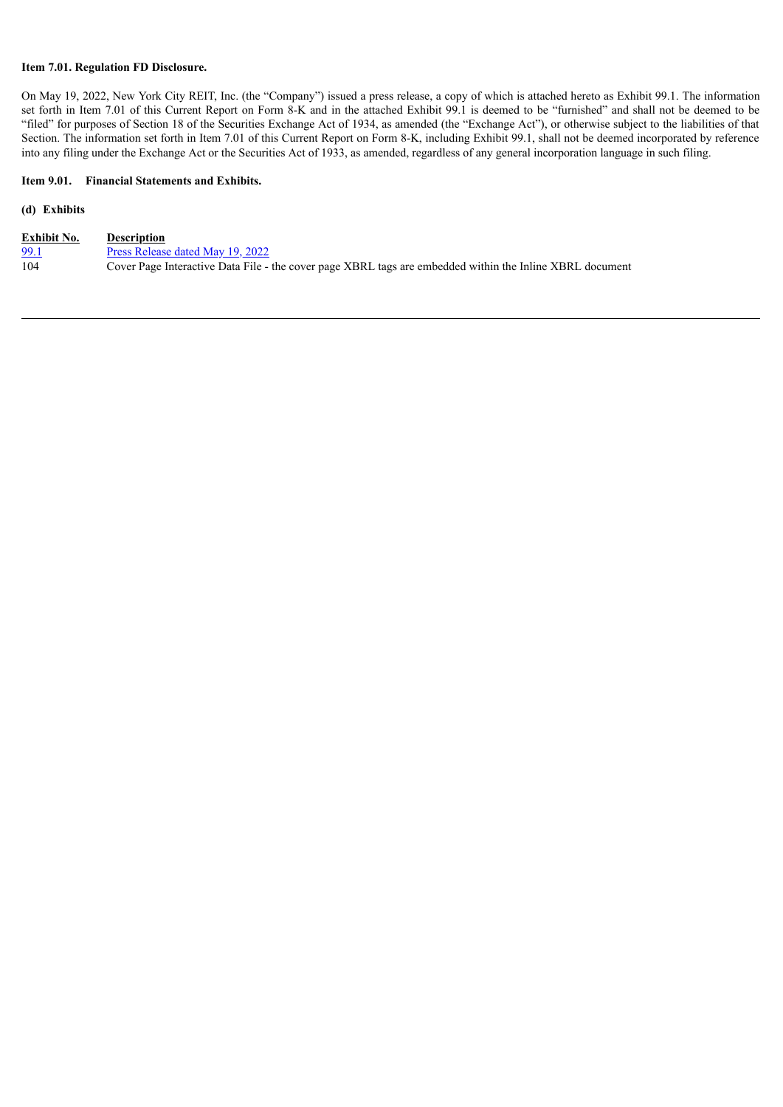## **Item 7.01. Regulation FD Disclosure.**

On May 19, 2022, New York City REIT, Inc. (the "Company") issued a press release, a copy of which is attached hereto as Exhibit 99.1. The information set forth in Item 7.01 of this Current Report on Form 8-K and in the attached Exhibit 99.1 is deemed to be "furnished" and shall not be deemed to be "filed" for purposes of Section 18 of the Securities Exchange Act of 1934, as amended (the "Exchange Act"), or otherwise subject to the liabilities of that Section. The information set forth in Item 7.01 of this Current Report on Form 8-K, including Exhibit 99.1, shall not be deemed incorporated by reference into any filing under the Exchange Act or the Securities Act of 1933, as amended, regardless of any general incorporation language in such filing.

## **Item 9.01. Financial Statements and Exhibits.**

## **(d) Exhibits**

| <b>Exhibit No.</b> | <b>Description</b>                                                                                       |
|--------------------|----------------------------------------------------------------------------------------------------------|
| <u>99.1</u>        | Press Release dated May 19, 2022                                                                         |
| 104                | Cover Page Interactive Data File - the cover page XBRL tags are embedded within the Inline XBRL document |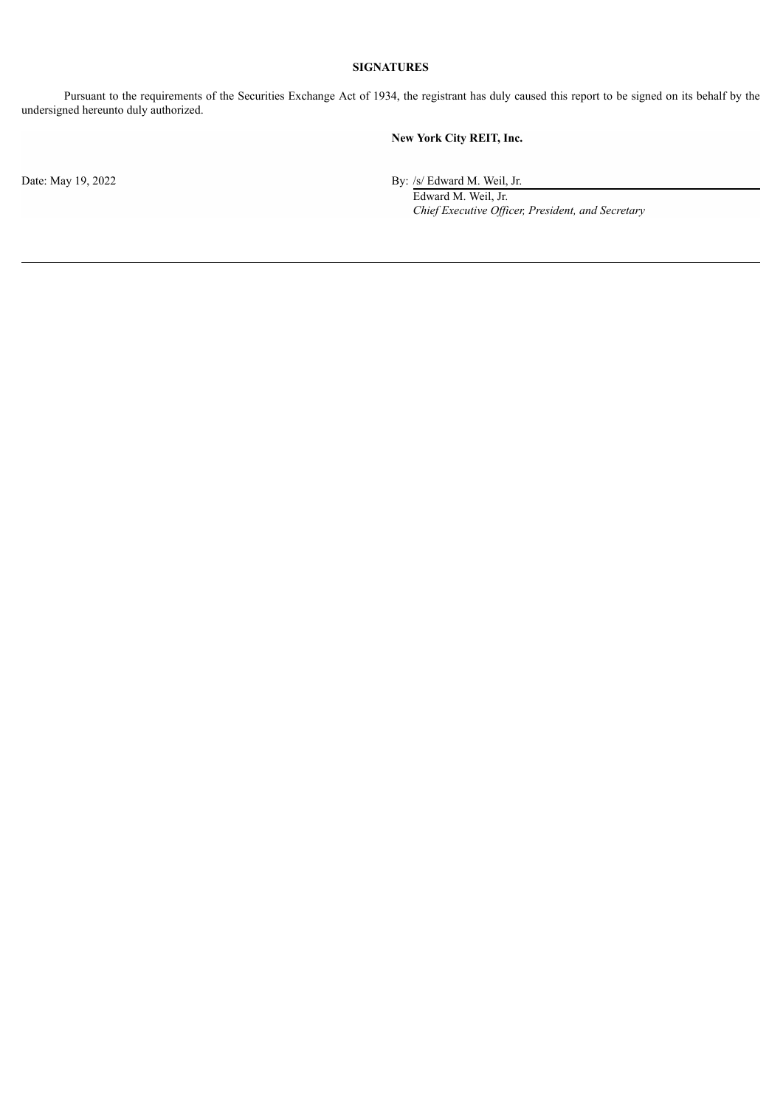# **SIGNATURES**

Pursuant to the requirements of the Securities Exchange Act of 1934, the registrant has duly caused this report to be signed on its behalf by the undersigned hereunto duly authorized.

**New York City REIT, Inc.**

Date: May 19, 2022 By: /s/ Edward M. Weil, Jr.

Edward M. Weil, Jr. *Chief Executive Of icer, President, and Secretary*